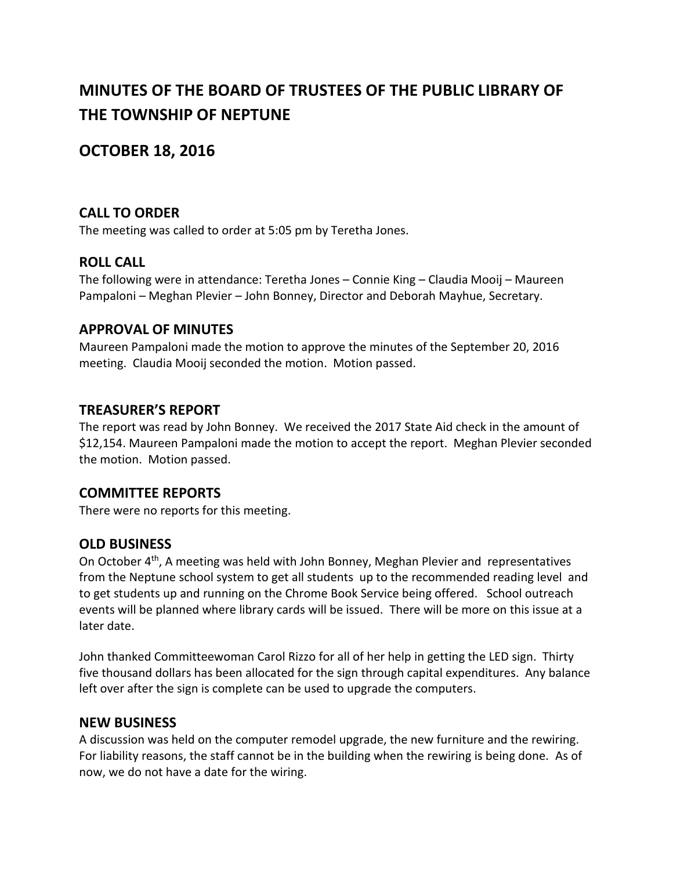# **MINUTES OF THE BOARD OF TRUSTEES OF THE PUBLIC LIBRARY OF THE TOWNSHIP OF NEPTUNE**

## **OCTOBER 18, 2016**

## **CALL TO ORDER**

The meeting was called to order at 5:05 pm by Teretha Jones.

#### **ROLL CALL**

The following were in attendance: Teretha Jones – Connie King – Claudia Mooij – Maureen Pampaloni – Meghan Plevier – John Bonney, Director and Deborah Mayhue, Secretary.

#### **APPROVAL OF MINUTES**

Maureen Pampaloni made the motion to approve the minutes of the September 20, 2016 meeting. Claudia Mooij seconded the motion. Motion passed.

## **TREASURER'S REPORT**

The report was read by John Bonney. We received the 2017 State Aid check in the amount of \$12,154. Maureen Pampaloni made the motion to accept the report. Meghan Plevier seconded the motion. Motion passed.

#### **COMMITTEE REPORTS**

There were no reports for this meeting.

## **OLD BUSINESS**

On October 4<sup>th</sup>, A meeting was held with John Bonney, Meghan Plevier and representatives from the Neptune school system to get all students up to the recommended reading level and to get students up and running on the Chrome Book Service being offered. School outreach events will be planned where library cards will be issued. There will be more on this issue at a later date.

John thanked Committeewoman Carol Rizzo for all of her help in getting the LED sign. Thirty five thousand dollars has been allocated for the sign through capital expenditures. Any balance left over after the sign is complete can be used to upgrade the computers.

#### **NEW BUSINESS**

A discussion was held on the computer remodel upgrade, the new furniture and the rewiring. For liability reasons, the staff cannot be in the building when the rewiring is being done. As of now, we do not have a date for the wiring.